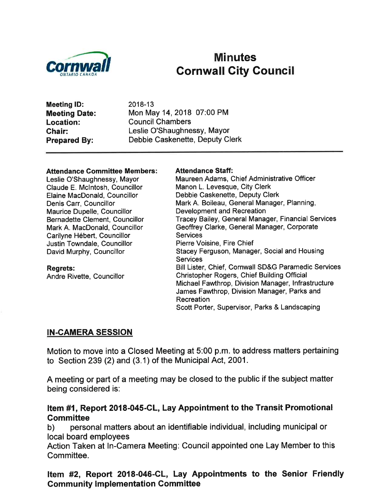

# External Minutes<br>Cornwall City Council<br>Cornwall Gity Council

Meeting lD: Meeting Date: Location: Ghair: Prepared By:

2018-13 Mon May 14,2018 07:00 PM Council Chambers Leslie O'Shaughnessy, Mayor Debbie Caskenette, Deputy Clerk

#### **Attendance Committee Members:**

Leslie O'Shaughnessy, Mayor Claude E. Mclntosh, Councillor Elaine MacDonald, Councillor Denis Carr, Councillor Maurice Dupelle, Councillor Bernadette Clement, Councillor Mark A. MacDonald, Councillor Carilyne Hébert, Councillor Justin Towndale, Councillor David Murphy, Councillor

Regrets: Andre Rivette, Councillor

#### Attendance Staff:

Maureen Adams, Chief Administrative Officer Manon L. Levesque, City Clerk Debbie Caskenette, Deputy Clerk Mark A. Boileau, General Manager, Planning, Development and Recreation Tracey Bailey, General Manager, Financial Services Geoffrey Clarke, General Manager, Corporate Services Pierre Voisine, Fire Chief Stacey Ferguson, Manager, Social and Housing **Services** Bill Lister, Chief, Cornwall SD&G Paramedic Services Christopher Rogers, Chief Building Official Michael Fawthrop, Division Manager, lnfrastructure James Fawthrop, Division Manager, Parks and Recreation Scott Porter, Supervisor, Parks & Landscaping

#### IN-CAMERA SESSION

Motion to move into a Closed Meeting at 5:00 p.m. to address matters pertaining to Section 239 (2) and (3.1) of the Municipal Act, 2001 .

A meeting or part of a meeting may be closed to the public if the subject matter being considered is:

## Item #1, Report 2018-045-CL, Lay Appointment to the Transit Promotional Committee<br>b) personal matters about an identifiable individual, including municipal or

local board employees

Action Taken at ln-Camera Meeting: Council appointed one Lay Member to this Committee.

#### Item #2, Report 2018-046-CL, Lay Appointments to the Senior Friendly Gommunity lmplementation Gommittee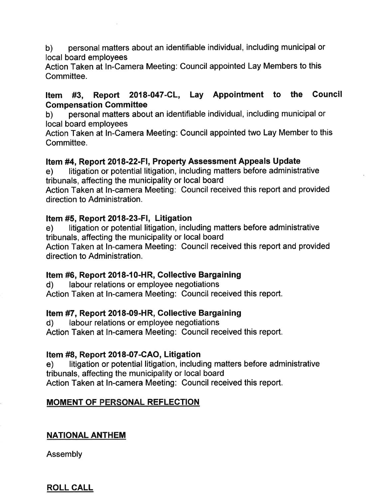b) personal matters about an identifiable individual, including municipal or local board employees

Action Taken at ln-Camera Meeting: Council appointed Lay Members to this Committee.

# Item #3, Report 2018-047-CL, Lay Appointment to the Council

b) personal matters about an identifiable individual, including municipal or local board employees

Action Taken at ln-Camera Meeting: Council appointed two Lay Member to this Committee.

#### Item #4, Report 2018-22-FI, Property Assessment Appeals Update

e) litigation or potential litigation, including matters before administrative tribunals, affecting the municipality or local board

Action Taken at ln-camera Meeting: Council received this report and provided direction to Administration.

#### Item #5, Repoft 2018-23-Fl, Litigation

e) litigation or potential litigation, including matters before administrative tribunals, affecting the municipality or local board

Action Taken at In-camera Meeting: Council received this report and provided direction to Administration.

#### Item #6, Report 2018-10-HR, Collective Bargaining

d) labour relations or employee negotiations Action Taken at ln-camera Meeting: Council received this report.

#### Item #7, Report 2018-09-HR, Collective Bargaining

d) labour relations or employee negotiations

Action Taken at In-camera Meeting: Council received this report.

#### Item #8, Report 2018-07-CAO, Litigation

e) litigation or potential litigation, including matters before administrative tribunals, affecting the municipality or local board Action Taken at ln-camera Meeting: Council received this report.

#### **MOMENT OF PERSONAL REFLECTION**

#### NATIONAL ANTHEM

Assembly

ROLL CALL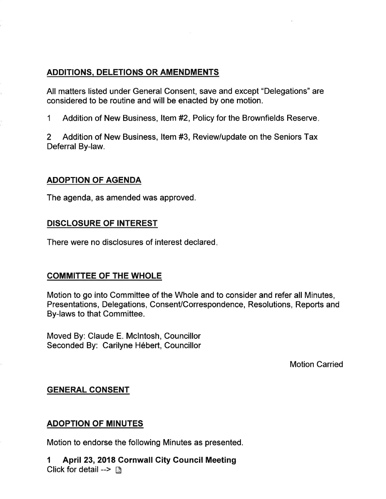#### ADDITIONS, DELETIONS OR AMENDMENTS

All matters listed under General Consent, save and except "Delegations" are considered to be routine and will be enacted by one motion.

1 Addition of New Business, Item #2, Policy for the Brownfields Reserve.

2 Addition of New Business, ltem #3, Review/update on the Seniors Tax Deferral By-law.

#### ADOPTION OF AGENDA

The agenda, as amended was approved.

#### DISCLOSURE OF INTEREST

There were no disclosures of interest declared

#### COMMITTEE OF THE WHOLE

Motion to go into Committee of the Whole and to consider and refer all Minutes, Presentations, Delegations, Consent/Correspondence, Resolutions, Reports and By-laws to that Committee.

Moved By: Claude E. Mclntosh, Councillor Seconded By: Carilyne Hébert, Councillor

Motion Carried

#### GENERAL CONSENT

#### ADOPTION OF MINUTES

Motion to endorse the following Minutes as presented.

1 April 23,2018 Cornwall City Council Meeting Click for detail  $\rightarrow \mathbb{D}$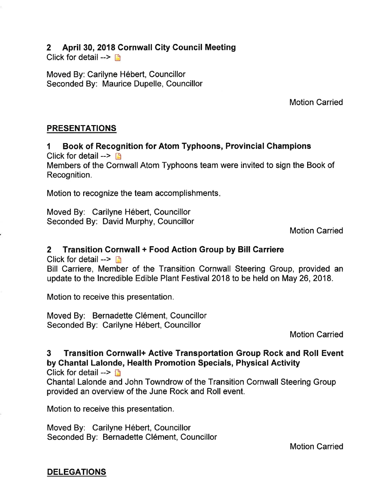#### 2 April 30,2018 Cornwall City Council Meeting

Click for detail  $\rightarrow$  D

Moved By: Carilyne Hébert, Councillor Seconded By: Maurice Dupelle, Councillor

Motion Carried

#### PRESENTATIONS

I Book of Recognition for Atom Typhoons, Provincial Champions Click for detail  $\rightarrow \Box$ Members of the Cornwall Atom Typhoons team were invited to sign the Book of Recognition.

Motion to recognize the team accomplishments

Moved By: Carilyne Hébert, Councillor Seconded By: David Murphy, Councillor

Motion Carried

#### 2 Transition Cornwall + Food Action Group by Bill Carriere

Click for detail  $\rightarrow$  n

Bill Carriere, Member of the Transition Cornwall Steering Group, provided an update to the lncredible Edible Plant Festival 2018 to be held on May 26, 2018.

Motion to receive this presentation.

Moved By: Bernadette Clément, Gouncillor Seconded By: Carilyne Hébert, Councillor

Motion Carried

### 3 Transition Gornwall+ Active Transportation Group Rock and Roll Event by Chantal Lalonde, Health Promotion Specials, Physical Activity

Click for detail  $\rightarrow \rightarrow$ 

Chantal Lalonde and John Towndrow of the Transition Cornwall Steering Group provided an overview of the June Rock and Roll event.

Motion to receive this presentation.

Moved By: Garilyne Hébert, Councillor Seconded By: Bernadette Clément, Councillor

Motion Carried

DELEGATIONS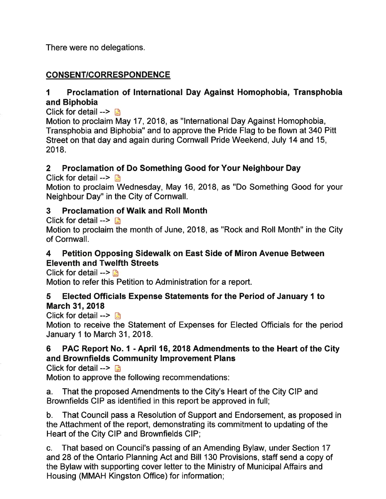There were no delegations.

#### CONSENT/CORRESPONDENCE

#### 1 Proclamation of International Day Against Homophobia, Transphobia and Biphobia

Click for detail  $\rightarrow \mathbb{R}$ 

Motion to proclaim May 17,2018, as "lnternational Day Against Homophobia, Transphobia and Biphobia" and to approve the Pride Flag to be flown at 340 Pitt Street on that day and again during Cornwall Pride Weekend, July 14 and 15, 2018.

#### 2 Proclamation of Do Something Good for Your Neighbour Day

Click for detail  $\rightarrow$ 

Motion to proclaim Wednesday, May 16, 2018, as "Do Something Good for your Neighbour Day" in the City of Cornwall.

#### 3 Proclamation of Walk and Roll Month

Click for detail  $\rightarrow$ 

Motion to proclaim the month of June, 2018, as "Rock and Roll Month" in the City of Cornwall.

#### 4 Petition Opposing Sidewalk on East Side of Miron Avenue Between Eleventh and Twelfth Streets

Click for detail  $\blacksquare$ 

Motion to refer this Petition to Administration for a report.

#### 5 Elected Officials Expense Statements for the Period of January 1 to March 31, 2018

Click for detail -->  $\blacksquare$ 

Motion to receive the Statement of Expenses for Elected Officials for the period January 1 to March 31, 2018.

#### 6 PAC Report No. I - April 16,2018 Admendments to the Heart of the Gity and Brownfields Gommunity lmprovement Plans

Click for detail  $\rightarrow$ 

Motion to approve the following recommendations:

a. That the proposed Amendments to the City's Heart of the City CIP and Brownfields CIP as identified in this report be approved in full;

b. That Council pass a Resolution of Support and Endorsement, as proposed in the Attachment of the report, demonstrating its commitment to updating of the Heart of the City CIP and Brownfields CIP;

c. That based on Council's passing of an Amending Bylaw, under Section <sup>17</sup> and 28 of the Ontario Planning Act and Bill 130 Provisions, staff send a copy of the Bylaw with supporting cover letter to the Ministry of Municipal Affairs and Housing (MMAH Kingston Office) for information;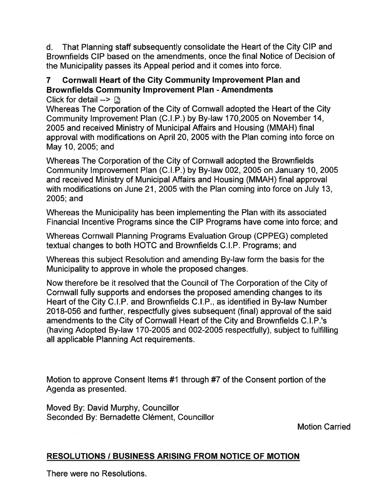d. That Planning staff subsequently consolidate the Heart of the City CIP and Brownfields CIP based on the amendments, once the final Notice of Decision of the Municipality passes its Appeal period and it comes into force.

#### 7 Cornwall Heart of the City Community lmprovement Plan and Brownfields Community lmprovement Plan - Amendments

Click for detail -->  $\mathbb{R}$ 

Whereas The Corporation of the City of Cornwall adopted the Heart of the City Community lmprovement Plan (C.l.P.) by By-law 170,2005 on November 14, 2005 and received Ministry of Municipal Affairs and Housing (MMAH) final approval with modifications on April 20,2005 with the Plan coming into force on May 10,2005; and

Whereas The Corporation of the City of Cornwall adopted the Brownfields Gommunity lmprovement Plan (G.l.P.) by By-law 002,2005 on January 10, 2005 and received Ministry of Municipal Affairs and Housing (MMAH) final approval with modifications on June 21, 2005 with the Plan coming into force on July 13, 2005; and

Whereas the Municipality has been implementing the Plan with its associated Financial lncentive Programs since the CIP Programs have come into force; and

Whereas Cornwall Planning Programs Evaluation Group (CPPEG) completed textual changes to both HOTC and Brownfields C.l.P. Programs; and

Whereas this subject Resolution and amending By-law form the basis for the Municipality to approve in whole the proposed changes.

Now therefore be it resolved that the Council of The Corporation of the City of Cornwall fully supports and endorses the proposed amending changes to its Heart of the City C.l.P. and Brownfields C.l.P., as identified in By-law Number 2018-056 and further, respectfully gives subsequent (final) approval of the said amendments to the Gity of Cornwall Heart of the City and Brownfields C.l.P.'s (having Adopted By-law 170-2005 and 002-2005 respectfully), subject to fulfilling all applicable Planning Act requirements.

Motion to approve Consent Items #1 through #7 of the Consent portion of the Agenda as presented.

Moved By: David Murphy, Councillor Seconded By: Bernadette Clément, Councillor

Motion Carried

#### **RESOLUTIONS / BUSINESS ARISING FROM NOTICE OF MOTION**

There were no Resolutions.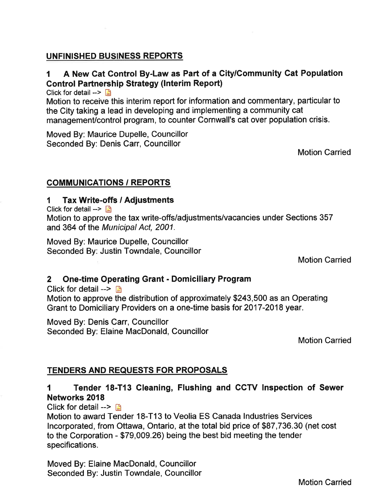#### UNFINISHED BUSINESS REPORTS

#### 1 A New Cat Control By-Law as Part of a City/Community Cat Population Control Partnership Strategy (Interim Report)

Click for detail  $\rightarrow$ 

Motion to receive this interim report for information and commentary, particular to the City taking a lead in developing and implementing a community cat management/control program, to counter Cornwall's cat over population crisis.

Moved By: Maurice Dupelle, Councillor Seconded By: Denis Carr, Councillor

Motion Carried

#### COMMUNICATIONS / REPORTS

#### 1 Tax Write-offs / Adjustments

Click for detail  $\rightarrow$ 

Motion to approve the tax write-offs/adjustments/vacancies under Sections 357 and 364 of the Municipal Act, 2001.

Moved By: Maurice Dupelle, Councillor Seconded By: Justin Towndale, Councillor

Motion Carried

#### 2 One-time Operating Grant - Domiciliary Program

Click for detail  $\rightarrow$   $\blacksquare$ Motion to approve the distribution of approximately \$243,500 as an Operating Grant to Domiciliary Providers on a one-time basis for 2017-2018 year.

Moved By: Denis Carr, Councillor Seconded By: Elaine MacDonald, Councillor

Motion Carried

#### TENDERS AND REQUESTS FOR PROPOSALS

#### 1 Tender 18-T13 Cleaning, Flushing and CCTV Inspection of Sewer Networks 2018

Click for detail  $\rightarrow$   $\rightarrow$ 

Motion to award Tender 18-T13 to Veolia ES Canada lndustries Services lncorporated, from Ottawa, Ontario, at the total bid price of \$87,736.30 (net cost to the Corporation - \$79,009.26) being the best bid meeting the tender specifications.

Moved By: Elaine MacDonald, Councillor Seconded By: Justin Towndale, Councillor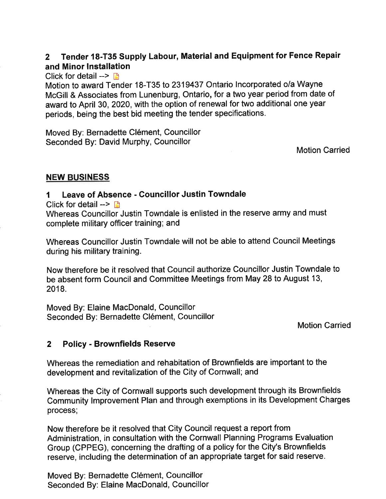#### Z Tender 18-T35 Supply Labour, Material and Equipment for Fence Repair and Minor lnstallation

#### Click for detail  $\rightarrow$  D

Motion to award Tender 18-T35 to 2319437 Ontario lncorporated o/a Wayne McGill & Associates from Lunenburg, Ontario, for a two year period from date of award to April 30,2020, with the option of renewal for two additional one year periods, being the best bid meeting the tender specifications.

Moved By: Bernadette Clément, Councillor Seconded By: David Murphy, Gouncillor

Motion Carried

#### NEW SINESS

#### I Leave of Absence - Councillor Justin Towndale

Click for detail  $\rightarrow$  D

Whereas Councillor Justin Towndale is enlisted in the reserve army and must complete military officer training; and

Whereas Councillor Justin Towndale will not be able to attend Council Meetings during his military training.

Now therefore be it resolved that Council authorize Councillor Justin Towndale to be absent form Council and Committee Meetings from May 28 to August 13, 2018.

Moved By: Elaine MacDonald, Councillor Seconded By: Bernadette Clément, Councillor

Motion Carried

#### 2 Policy - Brownfields Reserve

Whereas the remediation and rehabitation of Brownfields are important to the development and revitalization of the City of Cornwall; and

Whereas the City of Gornwall supports such development through its Brownfields Community lmprovement Plan and through exemptions in its Development Charges process;

Now therefore be it resolved that City Council request a report from Administration, in consultation with the Cornwall Planning Programs Evaluation Group (CPPEG), concerning the drafting of a policy for the City's Brownfields reserve, including the determination of an appropriate target for said reserve.

Moved By: Bernadette Clément, Councillor Seconded By: Elaine MacDonald, Councillor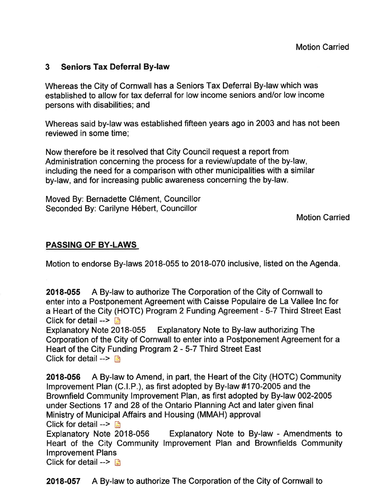#### 3 Seniors Tax Deferral By-law

Whereas the City of Cornwall has a Seniors Tax Deferral By-law which was established to allow for tax deferral for low income seniors and/or low income persons with disabilities; and

Whereas said by-law was established fifteen years ago in 2003 and has not been reviewed in some time;

Now therefore be it resolved that City Council request a report from Administration concerning the process for a review/update of the by-law, including the need for a comparison with other municipalities with a similar by-law, and for increasing public awareness concerning the by-law.

Moved By: Bernadette Clément, Councillor Seconded By: Carilyne Hébert, Councillor

Motion Carried

#### PASSING OF BY.LAWS

Motion to endorse By-laws 2018-055 lo 2018-070 inclusive, listed on the Agenda

2018-055 A By-law to authorize The Corporation of the City of Cornwall to enter into a Postponement Agreement with Caisse Populaire de La Vallee lnc for a Heart of the City (HOTC) Program 2 Funding Agreement - 5-7 Third Street East Click for detail  $\rightarrow$ 

Explanatory Note 2018-055 Explanatory Note to By-law authorizing The Corporation of the City of Cornwall to enter into a Postponement Agreement for a Heart of the City Funding Program 2 - 5-7 Third Street East Click for detail  $\rightarrow$  B

2018-056 A By-law to Amend, in part, the Heart of the City (HOTC) Community lmprovement Plan (C.l.P.), as first adopted by By-law #170-2005 and the Brownfield Community lmprovement Plan, as first adopted by By-law 002-2005 under Sections 17 and 28 of the Ontario Planning Act and later given final Ministry of Municipal Affairs and Housing (MMAH) approval Click for detail --> Ë

Explanatory Note to By-law - Amendments to Heart of the City Community lmprovement Plan and Brownfields Community lmprovement Plans

Click for detail  $\rightarrow$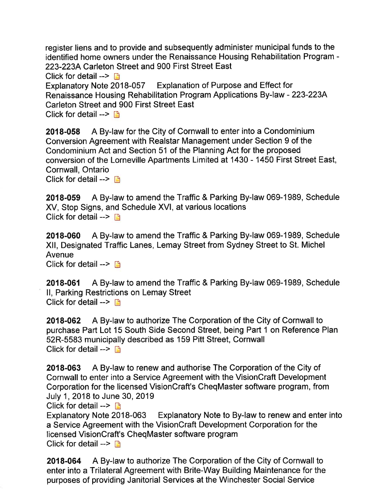register liens and to provide and subsequently administer municipal funds to the identified home owners under the Renaissance Housing Rehabilitation Program - 223-223A Carleton Street and 900 First Street East Click for detail  $\rightarrow$  n Explanatory Note 2018-057 Explanation of Purpose and Effect for Renaissance Housing Rehabilitation Program Applications By-law - 223-2234 Carleton Street and 900 First Street East Click for detail  $\rightarrow$  n

2018-058 A By-law for the City of Cornwall to enter into a Condominium Conversion Agreement with Realstar Management under Section 9 of the Condominium Act and Section 51 of the Planning Act for the proposed conversion of the Lorneville Apartments Limited at 1430 - 1450 First Street East, Cornwall, Ontario

Click for detail  $\rightarrow$  n

2018-059 A By-law to amend the Traffic & Parking By-law 069-1989, Schedule XV, Stop Signs, and Schedule XVl, at various locations Click for detail  $\rightarrow$  n

2018-060 A By-law to amend the Traffic & Parking By-law 069-1989, Schedule Xll, Designated Traffic Lanes, Lemay Street from Sydney Street to St. Michel Avenue Click for detail  $\rightarrow$  D

2018-061 A By-law to amend the Traffic & Parking By-law 069-1989, Schedule ll, Parking Restrictions on Lemay Street Click for detail  $\rightarrow \Box$ 

2018-062 A By-law to authorize The Corporation of the City of Cornwall to purchase Part Lot 15 South Side Second Street, being Part 1 on Reference Plan 52R-5583 municipally described as 159 Pitt Street, Cornwall Click for detail  $\rightarrow$  n

2018-063 A By-law to renew and authorise The Corporation of the City of Cornwall to enter into a Service Agreement with the VisionCraft Development Corporation for the licensed VisionCraft's CheqMaster software program, from July 1 ,2018 to June 30, 2019

Click for detail  $\rightarrow$   $\rightarrow$ 

Explanatory Note 2018-063 Explanatory Note to By-law to renew and enter into a Service Agreement with the VisionCraft Development Corporation for the licensed VisionCraft's CheqMaster software program Click for detail  $\rightarrow \Box$ 

2018-064 A By-law to authorize The Corporation of the City of Cornwall to enter into a Trilateral Agreement with Brite-Way Building Maintenance for the purposes of providing Janitorial Services at the Winchester Social Service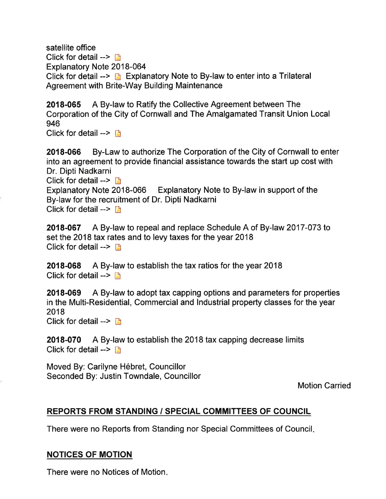satellite office Click for detail  $\rightarrow \Box$ Explanatory Note 2018-064 Click for detail  $\rightarrow$   $\rightarrow$  Explanatory Note to By-law to enter into a Trilateral Agreement with Brite-Way Building Maintenance

2018-065 A By-law to Ratify the Collective Agreement between The Corporation of the City of Cornwall and The Amalgamated Transit Union Local 946

Click for detail  $\rightarrow$  D

2018-066 By-Law to authorize The Corporation of the City of Cornwall to enter into an agreement to provide financial assistance towards the start up cost with Dr. Dipti Nadkarni Click for detail  $\rightarrow$   $\rightarrow$ Explanatory Note 2018-066 Explanatory Note to By-law in support of the By-law for the recruitment of Dr. Dipti Nadkarni Click for detail  $\rightarrow$   $\rightarrow$ 

2018-067 A By-law to repeal and replace Schedule A of By-law 2017-073 to set the 2018 tax rates and to levy taxes for the year 2018 Click for detail  $- \Box$ 

2018-068 A By-law to establish the tax ratios for the year 2018 Click for detail  $\rightarrow$   $\rightarrow$ 

2018-069 A By-law to adopt tax capping options and parameters for properties in the Multi-Residential, Commercial and lndustrial property classes for the year 2018

Click for detail  $\rightarrow \Box$ 

2018-070 A By-law to establish the 2018 tax capping decrease limits Click for detail  $\rightarrow$  n

Moved By: Carilyne Hébret, Councillor Seconded By: Justin Towndale, Gouncillor

Motion Carried

#### REPORTS FROM STANDING / SPECIAL COMMITTEES OF COUNCIL

There were no Reports from Standing nor Special Committees of Council

#### NOTICES OF MOTION

There were no Notices of Motion